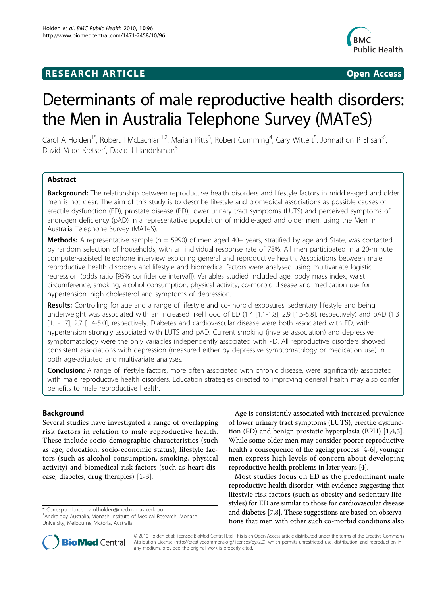# **RESEARCH ARTICLE Example 2018 CONSUMING ACCESS**



# Determinants of male reproductive health disorders: the Men in Australia Telephone Survey (MATeS)

Carol A Holden<sup>1\*</sup>, Robert I McLachlan<sup>1,2</sup>, Marian Pitts<sup>3</sup>, Robert Cumming<sup>4</sup>, Gary Wittert<sup>5</sup>, Johnathon P Ehsani<sup>6</sup> , David M de Kretser<sup>7</sup>, David J Handelsman<sup>8</sup>

# Abstract

Background: The relationship between reproductive health disorders and lifestyle factors in middle-aged and older men is not clear. The aim of this study is to describe lifestyle and biomedical associations as possible causes of erectile dysfunction (ED), prostate disease (PD), lower urinary tract symptoms (LUTS) and perceived symptoms of androgen deficiency (pAD) in a representative population of middle-aged and older men, using the Men in Australia Telephone Survey (MATeS).

**Methods:** A representative sample ( $n = 5990$ ) of men aged 40+ years, stratified by age and State, was contacted by random selection of households, with an individual response rate of 78%. All men participated in a 20-minute computer-assisted telephone interview exploring general and reproductive health. Associations between male reproductive health disorders and lifestyle and biomedical factors were analysed using multivariate logistic regression (odds ratio [95% confidence interval]). Variables studied included age, body mass index, waist circumference, smoking, alcohol consumption, physical activity, co-morbid disease and medication use for hypertension, high cholesterol and symptoms of depression.

Results: Controlling for age and a range of lifestyle and co-morbid exposures, sedentary lifestyle and being underweight was associated with an increased likelihood of ED (1.4 [1.1-1.8]; 2.9 [1.5-5.8], respectively) and pAD (1.3 [1.1-1.7]; 2.7 [1.4-5.0], respectively. Diabetes and cardiovascular disease were both associated with ED, with hypertension strongly associated with LUTS and pAD. Current smoking (inverse association) and depressive symptomatology were the only variables independently associated with PD. All reproductive disorders showed consistent associations with depression (measured either by depressive symptomatology or medication use) in both age-adjusted and multivariate analyses.

**Conclusion:** A range of lifestyle factors, more often associated with chronic disease, were significantly associated with male reproductive health disorders. Education strategies directed to improving general health may also confer benefits to male reproductive health.

# Background

Several studies have investigated a range of overlapping risk factors in relation to male reproductive health. These include socio-demographic characteristics (such as age, education, socio-economic status), lifestyle factors (such as alcohol consumption, smoking, physical activity) and biomedical risk factors (such as heart disease, diabetes, drug therapies) [[1](#page-6-0)-[3\]](#page-7-0).

\* Correspondence: [carol.holden@med.monash.edu.au](mailto:carol.holden@med.monash.edu.au)

Age is consistently associated with increased prevalence of lower urinary tract symptoms (LUTS), erectile dysfunction (ED) and benign prostatic hyperplasia (BPH) [\[1](#page-6-0)[,4,5](#page-7-0)]. While some older men may consider poorer reproductive health a consequence of the ageing process [[4-6\]](#page-7-0), younger men express high levels of concern about developing reproductive health problems in later years [\[4](#page-7-0)].

Most studies focus on ED as the predominant male reproductive health disorder, with evidence suggesting that lifestyle risk factors (such as obesity and sedentary lifestyles) for ED are similar to those for cardiovascular disease and diabetes [\[7,8](#page-7-0)]. These suggestions are based on observations that men with other such co-morbid conditions also



© 2010 Holden et al; licensee BioMed Central Ltd. This is an Open Access article distributed under the terms of the Creative Commons Attribution License [\(http://creativecommons.org/licenses/by/2.0](http://creativecommons.org/licenses/by/2.0)), which permits unrestricted use, distribution, and reproduction in any medium, provided the original work is properly cited.

<sup>&</sup>lt;sup>1</sup> Andrology Australia, Monash Institute of Medical Research, Monash University, Melbourne, Victoria, Australia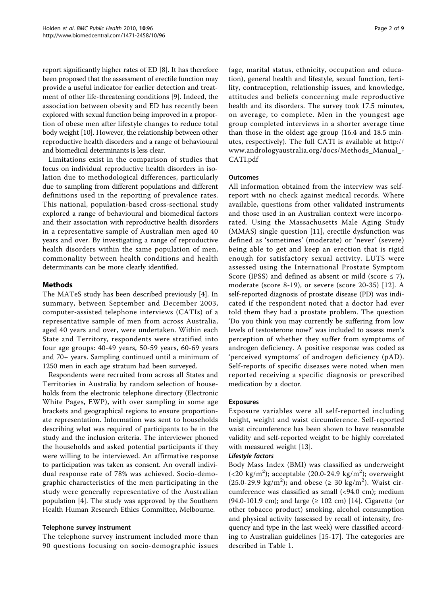report significantly higher rates of ED [[8](#page-7-0)]. It has therefore been proposed that the assessment of erectile function may provide a useful indicator for earlier detection and treatment of other life-threatening conditions [\[9](#page-7-0)]. Indeed, the association between obesity and ED has recently been explored with sexual function being improved in a proportion of obese men after lifestyle changes to reduce total body weight [[10](#page-7-0)]. However, the relationship between other reproductive health disorders and a range of behavioural and biomedical determinants is less clear.

Limitations exist in the comparison of studies that focus on individual reproductive health disorders in isolation due to methodological differences, particularly due to sampling from different populations and different definitions used in the reporting of prevalence rates. This national, population-based cross-sectional study explored a range of behavioural and biomedical factors and their association with reproductive health disorders in a representative sample of Australian men aged 40 years and over. By investigating a range of reproductive health disorders within the same population of men, commonality between health conditions and health determinants can be more clearly identified.

# Methods

The MATeS study has been described previously [\[4](#page-7-0)]. In summary, between September and December 2003, computer-assisted telephone interviews (CATIs) of a representative sample of men from across Australia, aged 40 years and over, were undertaken. Within each State and Territory, respondents were stratified into four age groups: 40-49 years, 50-59 years, 60-69 years and 70+ years. Sampling continued until a minimum of 1250 men in each age stratum had been surveyed.

Respondents were recruited from across all States and Territories in Australia by random selection of households from the electronic telephone directory (Electronic White Pages, EWP), with over sampling in some age brackets and geographical regions to ensure proportionate representation. Information was sent to households describing what was required of participants to be in the study and the inclusion criteria. The interviewer phoned the households and asked potential participants if they were willing to be interviewed. An affirmative response to participation was taken as consent. An overall individual response rate of 78% was achieved. Socio-demographic characteristics of the men participating in the study were generally representative of the Australian population [\[4\]](#page-7-0). The study was approved by the Southern Health Human Research Ethics Committee, Melbourne.

## Telephone survey instrument

The telephone survey instrument included more than 90 questions focusing on socio-demographic issues

(age, marital status, ethnicity, occupation and education), general health and lifestyle, sexual function, fertility, contraception, relationship issues, and knowledge, attitudes and beliefs concerning male reproductive health and its disorders. The survey took 17.5 minutes, on average, to complete. Men in the youngest age group completed interviews in a shorter average time than those in the oldest age group (16.4 and 18.5 minutes, respectively). The full CATI is available at [http://](http://www.andrologyaustralia.org/docs/Methods_Manual_CATI.pdf) [www.andrologyaustralia.org/docs/Methods\\_Manual\\_-](http://www.andrologyaustralia.org/docs/Methods_Manual_CATI.pdf) [CATI.pdf](http://www.andrologyaustralia.org/docs/Methods_Manual_CATI.pdf)

# **Outcomes**

All information obtained from the interview was selfreport with no check against medical records. Where available, questions from other validated instruments and those used in an Australian context were incorporated. Using the Massachusetts Male Aging Study (MMAS) single question [[11\]](#page-7-0), erectile dysfunction was defined as 'sometimes' (moderate) or 'never' (severe) being able to get and keep an erection that is rigid enough for satisfactory sexual activity. LUTS were assessed using the International Prostate Symptom Score (IPSS) and defined as absent or mild (score  $\leq$  7), moderate (score 8-19), or severe (score 20-35) [\[12](#page-7-0)]. A self-reported diagnosis of prostate disease (PD) was indicated if the respondent noted that a doctor had ever told them they had a prostate problem. The question 'Do you think you may currently be suffering from low levels of testosterone now?' was included to assess men's perception of whether they suffer from symptoms of androgen deficiency. A positive response was coded as 'perceived symptoms' of androgen deficiency (pAD). Self-reports of specific diseases were noted when men reported receiving a specific diagnosis or prescribed medication by a doctor.

# Exposures

Exposure variables were all self-reported including height, weight and waist circumference. Self-reported waist circumference has been shown to have reasonable validity and self-reported weight to be highly correlated with measured weight [\[13](#page-7-0)].

## Lifestyle factors

Body Mass Index (BMI) was classified as underweight  $(<$ 20 kg/m<sup>2</sup>); acceptable (20.0-24.9 kg/m<sup>2</sup>); overweight (25.0-29.9 kg/m<sup>2</sup>); and obese ( $\geq 30$  kg/m<sup>2</sup>). Waist circumference was classified as small (<94.0 cm); medium (94.0-101.9 cm); and large (≥ 102 cm) [[14\]](#page-7-0). Cigarette (or other tobacco product) smoking, alcohol consumption and physical activity (assessed by recall of intensity, frequency and type in the last week) were classified according to Australian guidelines [\[15](#page-7-0)-[17](#page-7-0)]. The categories are described in Table [1.](#page-2-0)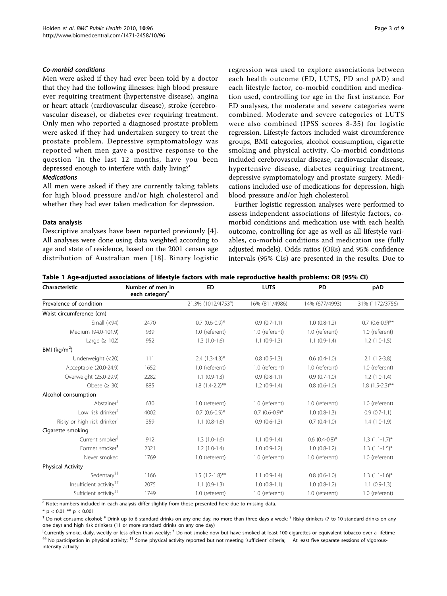#### <span id="page-2-0"></span>Co-morbid conditions

Men were asked if they had ever been told by a doctor that they had the following illnesses: high blood pressure ever requiring treatment (hypertensive disease), angina or heart attack (cardiovascular disease), stroke (cerebrovascular disease), or diabetes ever requiring treatment. Only men who reported a diagnosed prostate problem were asked if they had undertaken surgery to treat the prostate problem. Depressive symptomatology was reported when men gave a positive response to the question 'In the last 12 months, have you been depressed enough to interfere with daily living?' Medications

All men were asked if they are currently taking tablets for high blood pressure and/or high cholesterol and whether they had ever taken medication for depression.

#### Data analysis

Descriptive analyses have been reported previously [[4](#page-7-0)]. All analyses were done using data weighted according to age and state of residence, based on the 2001 census age distribution of Australian men [[18](#page-7-0)]. Binary logistic regression was used to explore associations between each health outcome (ED, LUTS, PD and pAD) and each lifestyle factor, co-morbid condition and medication used, controlling for age in the first instance. For ED analyses, the moderate and severe categories were combined. Moderate and severe categories of LUTS were also combined (IPSS scores 8-35) for logistic regression. Lifestyle factors included waist circumference groups, BMI categories, alcohol consumption, cigarette smoking and physical activity. Co-morbid conditions included cerebrovascular disease, cardiovascular disease, hypertensive disease, diabetes requiring treatment, depressive symptomatology and prostate surgery. Medications included use of medications for depression, high blood pressure and/or high cholesterol.

Further logistic regression analyses were performed to assess independent associations of lifestyle factors, comorbid conditions and medication use with each health outcome, controlling for age as well as all lifestyle variables, co-morbid conditions and medication use (fully adjusted models). Odds ratios (ORs) and 95% confidence intervals (95% CIs) are presented in the results. Due to

|  |  | Table 1 Age-adjusted associations of lifestyle factors with male reproductive health problems: OR (95% CI) |
|--|--|------------------------------------------------------------------------------------------------------------|
|  |  |                                                                                                            |

| Characteristic                          | Number of men in<br>each category <sup>a</sup> | <b>ED</b>                       | <b>LUTS</b>         | <b>PD</b>           | pAD                  |
|-----------------------------------------|------------------------------------------------|---------------------------------|---------------------|---------------------|----------------------|
| Prevalence of condition                 |                                                | 21.3% (1012/4753 <sup>a</sup> ) | 16% (811/4986)      | 14% (677/4993)      | 31% (1172/3756)      |
| Waist circumference (cm)                |                                                |                                 |                     |                     |                      |
| Small $(94)$                            | 2470                                           | $0.7$ (0.6-0.9)*                | $0.9(0.7-1.1)$      | $1.0(0.8-1.2)$      | $0.7$ $(0.6-0.9)$ ** |
| Medium (94.0-101.9)                     | 939                                            | 1.0 (referent)                  | 1.0 (referent)      | 1.0 (referent)      | 1.0 (referent)       |
| Large $( \geq 102)$                     | 952                                            | $1.3(1.0-1.6)$                  | $1.1(0.9-1.3)$      | $1.1(0.9-1.4)$      | $1.2(1.0-1.5)$       |
| BMI ( $\text{kg/m}^2$ )                 |                                                |                                 |                     |                     |                      |
| Underweight (<20)                       | 111                                            | $2.4$ (1.3-4.3)*                | $0.8(0.5-1.3)$      | $0.6(0.4-1.0)$      | $2.1(1.2-3.8)$       |
| Acceptable (20.0-24.9)                  | 1652                                           | 1.0 (referent)                  | 1.0 (referent)      | 1.0 (referent)      | 1.0 (referent)       |
| Overweight (25.0-29.9)                  | 2282                                           | $1.1(0.9-1.3)$                  | $0.9(0.8-1.1)$      | $0.9(0.7-1.0)$      | $1.2(1.0-1.4)$       |
| Obese ( $\geq$ 30)                      | 885                                            | $1.8(1.4-2.2)$ **               | $1.2(0.9-1.4)$      | $0.8(0.6-1.0)$      | $1.8$ $(1.5-2.3)$ ** |
| Alcohol consumption                     |                                                |                                 |                     |                     |                      |
| Abstainer <sup>†</sup>                  | 630                                            | 1.0 (referent)                  | 1.0 (referent)      | 1.0 (referent)      | 1.0 (referent)       |
| Low risk drinker <sup>#</sup>           | 4002                                           | $0.7(0.6-0.9)$ *                | $0.7$ $(0.6-0.9)$ * | $1.0(0.8-1.3)$      | $0.9(0.7-1.1)$       |
| Risky or high risk drinker <sup>§</sup> | 359                                            | $1.1$ (0.8-1.6)                 | $0.9(0.6-1.3)$      | $0.7(0.4-1.0)$      | $1.4(1.0-1.9)$       |
| Cigarette smoking                       |                                                |                                 |                     |                     |                      |
| Current smoker                          | 912                                            | $1.3(1.0-1.6)$                  | $1.1(0.9-1.4)$      | $0.6$ $(0.4-0.8)$ * | $1.3(1.1-1.7)^*$     |
| Former smoker <sup>1</sup>              | 2321                                           | $1.2(1.0-1.4)$                  | $1.0(0.9-1.2)$      | $1.0(0.8-1.2)$      | $1.3(1.1-1.5)^*$     |
| Never smoked                            | 1769                                           | 1.0 (referent)                  | 1.0 (referent)      | 1.0 (referent)      | 1.0 (referent)       |
| <b>Physical Activity</b>                |                                                |                                 |                     |                     |                      |
| Sedentary <sup>§§</sup>                 | 1166                                           | $1.5(1.2-1.8)$ **               | $1.1(0.9-1.4)$      | $0.8(0.6-1.0)$      | $1.3(1.1-1.6)^{*}$   |
| Insufficient activity <sup>††</sup>     | 2075                                           | $1.1(0.9-1.3)$                  | $1.0(0.8-1.1)$      | $1.0(0.8-1.2)$      | $1.1(0.9-1.3)$       |
| Sufficient activity <sup>##</sup>       | 1749                                           | 1.0 (referent)                  | 1.0 (referent)      | 1.0 (referent)      | 1.0 (referent)       |

<sup>a</sup> Note: numbers included in each analysis differ slightly from those presented here due to missing data.

 $*$  p < 0.01  $**$  p < 0.001

 $<sup>†</sup>$  Do not consume alcohol;  $<sup>‡</sup>$  Drink up to 6 standard drinks on any one day, no more than three days a week;  $<sup>§</sup>$  Risky drinkers (7 to 10 standard drinks on any</sup></sup></sup> one day) and high risk drinkers (11 or more standard drinks on any one day)

ICurrently smoke, daily, weekly or less often than weekly; <sup>1</sup> Do not smoke now but have smoked at least 100 cigarettes or equivalent tobacco over a lifetime <sup>§§</sup> No participation in physical activity; <sup>††</sup> Some physical activity reported but not meeting 'sufficient' criteria; <sup>#‡</sup> At least five separate sessions of vigorousintensity activity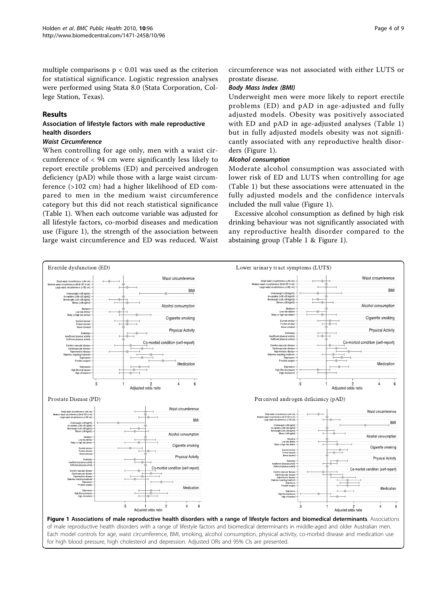<span id="page-3-0"></span>multiple comparisons  $p < 0.01$  was used as the criterion for statistical significance. Logistic regression analyses were performed using Stata 8.0 (Stata Corporation, College Station, Texas).

#### Results

# Association of lifestyle factors with male reproductive health disorders

# Waist Circumference

When controlling for age only, men with a waist circumference of < 94 cm were significantly less likely to report erectile problems (ED) and perceived androgen deficiency (pAD) while those with a large waist circumference (>102 cm) had a higher likelihood of ED compared to men in the medium waist circumference category but this did not reach statistical significance (Table [1\)](#page-2-0). When each outcome variable was adjusted for all lifestyle factors, co-morbid diseases and medication use (Figure 1), the strength of the association between large waist circumference and ED was reduced. Waist

circumference was not associated with either LUTS or prostate disease.

## Body Mass Index (BMI)

Underweight men were more likely to report erectile problems (ED) and pAD in age-adjusted and fully adjusted models. Obesity was positively associated with ED and pAD in age-adjusted analyses (Table [1](#page-2-0)) but in fully adjusted models obesity was not significantly associated with any reproductive health disorders (Figure 1).

## Alcohol consumption

Moderate alcohol consumption was associated with lower risk of ED and LUTS when controlling for age (Table [1](#page-2-0)) but these associations were attenuated in the fully adjusted models and the confidence intervals included the null value (Figure 1).

Excessive alcohol consumption as defined by high risk drinking behaviour was not significantly associated with any reproductive health disorder compared to the abstaining group (Table [1](#page-2-0) & Figure 1).



of male reproductive health disorders with a range of lifestyle factors and biomedical determinants in middle-aged and older Australian men. Each model controls for age, waist circumference, BMI, smoking, alcohol consumption, physical activity, co-morbid disease and medication use for high blood pressure, high cholesterol and depression. Adjusted ORs and 95% CIs are presented.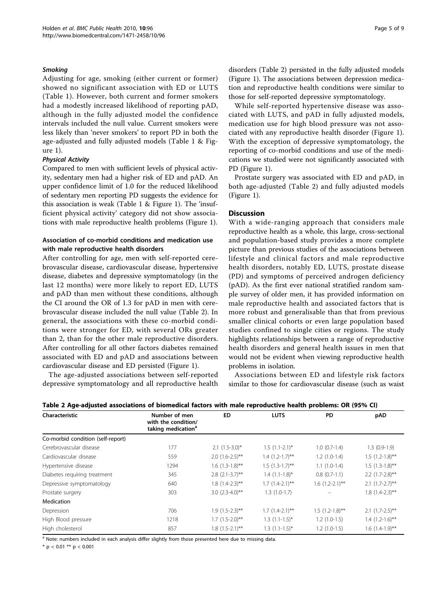#### Smoking

Adjusting for age, smoking (either current or former) showed no significant association with ED or LUTS (Table [1\)](#page-2-0). However, both current and former smokers had a modestly increased likelihood of reporting pAD, although in the fully adjusted model the confidence intervals included the null value. Current smokers were less likely than 'never smokers' to report PD in both the age-adjusted and fully adjusted models (Table [1](#page-2-0) & Figure [1](#page-3-0)).

#### Physical Activity

Compared to men with sufficient levels of physical activity, sedentary men had a higher risk of ED and pAD. An upper confidence limit of 1.0 for the reduced likelihood of sedentary men reporting PD suggests the evidence for this association is weak (Table [1](#page-2-0) & Figure [1](#page-3-0)). The 'insufficient physical activity' category did not show associations with male reproductive health problems (Figure [1](#page-3-0)).

## Association of co-morbid conditions and medication use with male reproductive health disorders

After controlling for age, men with self-reported cerebrovascular disease, cardiovascular disease, hypertensive disease, diabetes and depressive symptomatology (in the last 12 months) were more likely to report ED, LUTS and pAD than men without these conditions, although the CI around the OR of 1.3 for pAD in men with cerebrovascular disease included the null value (Table 2). In general, the associations with these co-morbid conditions were stronger for ED, with several ORs greater than 2, than for the other male reproductive disorders. After controlling for all other factors diabetes remained associated with ED and pAD and associations between cardiovascular disease and ED persisted (Figure [1\)](#page-3-0).

The age-adjusted associations between self-reported depressive symptomatology and all reproductive health disorders (Table 2) persisted in the fully adjusted models (Figure [1\)](#page-3-0). The associations between depression medication and reproductive health conditions were similar to those for self-reported depressive symptomatology.

While self-reported hypertensive disease was associated with LUTS, and pAD in fully adjusted models, medication use for high blood pressure was not associated with any reproductive health disorder (Figure [1](#page-3-0)). With the exception of depressive symptomatology, the reporting of co-morbid conditions and use of the medications we studied were not significantly associated with PD (Figure [1\)](#page-3-0).

Prostate surgery was associated with ED and pAD, in both age-adjusted (Table 2) and fully adjusted models (Figure [1\)](#page-3-0).

#### **Discussion**

With a wide-ranging approach that considers male reproductive health as a whole, this large, cross-sectional and population-based study provides a more complete picture than previous studies of the associations between lifestyle and clinical factors and male reproductive health disorders, notably ED, LUTS, prostate disease (PD) and symptoms of perceived androgen deficiency (pAD). As the first ever national stratified random sample survey of older men, it has provided information on male reproductive health and associated factors that is more robust and generalisable than that from previous smaller clinical cohorts or even large population based studies confined to single cities or regions. The study highlights relationships between a range of reproductive health disorders and general health issues in men that would not be evident when viewing reproductive health problems in isolation.

Associations between ED and lifestyle risk factors similar to those for cardiovascular disease (such as waist

| Characteristic                    | Number of men                                         | <b>ED</b>            | <b>LUTS</b>        | <b>PD</b>            | pAD                  |
|-----------------------------------|-------------------------------------------------------|----------------------|--------------------|----------------------|----------------------|
|                                   | with the condition/<br>taking medication <sup>a</sup> |                      |                    |                      |                      |
| Co-morbid condition (self-report) |                                                       |                      |                    |                      |                      |
| Cerebrovascular disease           | 177                                                   | $2.1(1.5-3.0)^{*}$   | $1.5(1.1-2.1)^{*}$ | $1.0(0.7-1.4)$       | $1.3(0.9-1.9)$       |
| Cardiovascular disease            | 559                                                   | $2.0$ $(1.6-2.5)$ ** | $1.4(1.2-1.7)$ **  | $1.2(1.0-1.4)$       | $1.5$ $(1.2-1.8)$ ** |
| Hypertensive disease              | 1294                                                  | $1.6$ $(1.3-1.8)$ ** | $1.5(1.3-1.7)$ **  | $1.1(1.0-1.4)$       | $1.5(1.3-1.8)$ **    |
| Diabetes requiring treatment      | 345                                                   | $2.8$ (2.1-3.7)**    | $1.4(1.1-1.8)$ *   | $0.8(0.7-1.1)$       | $2.2$ (1.7-2.8)**    |
| Depressive symptomatology         | 640                                                   | $1.8(1.4-2.3)$ **    | $1.7(1.4-2.1)$ **  | $1.6$ $(1.2-2.1)$ ** | $2.1$ $(1.7-2.7)$ ** |
| Prostate surgery                  | 303                                                   | $3.0$ (2.3-4.0)**    | $1.3(1.0-1.7)$     |                      | $1.8(1.4-2.3)$ **    |
| Medication                        |                                                       |                      |                    |                      |                      |
| Depression                        | 706                                                   | $1.9(1.5-2.3)$ **    | $1.7(1.4-2.1)$ **  | $1.5(1.2-1.8)$ **    | $2.1(1.7-2.5)$ **    |
| High Blood pressure               | 1218                                                  | $1.7(1.5-2.0)$ **    | $1.3(1.1-1.5)^*$   | $1.2(1.0-1.5)$       | $1.4(1.2-1.6)$ **    |
| High cholesterol                  | 857                                                   | $1.8(1.5-2.1)$ **    | $1.3(1.1-1.5)^{*}$ | $1.2(1.0-1.5)$       | $1.6$ $(1.4-1.9)$ ** |

Table 2 Age-adjusted associations of biomedical factors with male reproductive health problems: OR (95% CI)

<sup>a</sup> Note: numbers included in each analysis differ slightly from those presented here due to missing data.

 $*$  p < 0.01  $**$  p < 0.001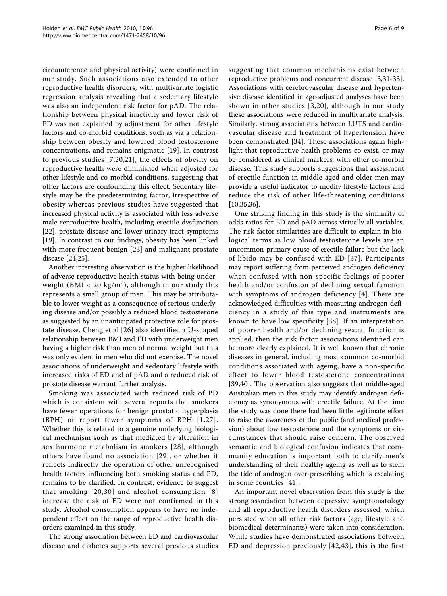circumference and physical activity) were confirmed in our study. Such associations also extended to other reproductive health disorders, with multivariate logistic regression analysis revealing that a sedentary lifestyle was also an independent risk factor for pAD. The relationship between physical inactivity and lower risk of PD was not explained by adjustment for other lifestyle factors and co-morbid conditions, such as via a relationship between obesity and lowered blood testosterone concentrations, and remains enigmatic [[19\]](#page-7-0). In contrast to previous studies [[7,20,21](#page-7-0)], the effects of obesity on reproductive health were diminished when adjusted for other lifestyle and co-morbid conditions, suggesting that other factors are confounding this effect. Sedentary lifestyle may be the predetermining factor, irrespective of obesity whereas previous studies have suggested that increased physical activity is associated with less adverse male reproductive health, including erectile dysfunction [[22\]](#page-7-0), prostate disease and lower urinary tract symptoms [[19\]](#page-7-0). In contrast to our findings, obesity has been linked with more frequent benign [[23\]](#page-7-0) and malignant prostate disease [\[24,25](#page-7-0)].

Another interesting observation is the higher likelihood of adverse reproductive health status with being underweight (BMI < 20 kg/m<sup>2</sup>), although in our study this represents a small group of men. This may be attributable to lower weight as a consequence of serious underlying disease and/or possibly a reduced blood testosterone as suggested by an unanticipated protective role for prostate disease. Cheng et al [[26\]](#page-7-0) also identified a U-shaped relationship between BMI and ED with underweight men having a higher risk than men of normal weight but this was only evident in men who did not exercise. The novel associations of underweight and sedentary lifestyle with increased risks of ED and of pAD and a reduced risk of prostate disease warrant further analysis.

Smoking was associated with reduced risk of PD which is consistent with several reports that smokers have fewer operations for benign prostatic hyperplasia (BPH) or report fewer symptoms of BPH [[1](#page-6-0),[27\]](#page-7-0). Whether this is related to a genuine underlying biological mechanism such as that mediated by alteration in sex hormone metabolism in smokers [[28\]](#page-7-0), although others have found no association [[29](#page-7-0)], or whether it reflects indirectly the operation of other unrecognised health factors influencing both smoking status and PD, remains to be clarified. In contrast, evidence to suggest that smoking [[20,30](#page-7-0)] and alcohol consumption [[8](#page-7-0)] increase the risk of ED were not confirmed in this study. Alcohol consumption appears to have no independent effect on the range of reproductive health disorders examined in this study.

The strong association between ED and cardiovascular disease and diabetes supports several previous studies suggesting that common mechanisms exist between reproductive problems and concurrent disease [[3,31-33](#page-7-0)]. Associations with cerebrovascular disease and hypertensive disease identified in age-adjusted analyses have been shown in other studies [[3](#page-7-0),[20](#page-7-0)], although in our study these associations were reduced in multivariate analysis. Similarly, strong associations between LUTS and cardiovascular disease and treatment of hypertension have been demonstrated [[34](#page-7-0)]. These associations again highlight that reproductive health problems co-exist, or may be considered as clinical markers, with other co-morbid disease. This study supports suggestions that assessment of erectile function in middle-aged and older men may provide a useful indicator to modify lifestyle factors and reduce the risk of other life-threatening conditions [[10,35,36](#page-7-0)].

One striking finding in this study is the similarity of odds ratios for ED and pAD across virtually all variables. The risk factor similarities are difficult to explain in biological terms as low blood testosterone levels are an uncommon primary cause of erectile failure but the lack of libido may be confused with ED [[37](#page-7-0)]. Participants may report suffering from perceived androgen deficiency when confused with non-specific feelings of poorer health and/or confusion of declining sexual function with symptoms of androgen deficiency [[4\]](#page-7-0). There are acknowledged difficulties with measuring androgen deficiency in a study of this type and instruments are known to have low specificity [[38](#page-7-0)]. If an interpretation of poorer health and/or declining sexual function is applied, then the risk factor associations identified can be more clearly explained. It is well known that chronic diseases in general, including most common co-morbid conditions associated with ageing, have a non-specific effect to lower blood testosterone concentrations [[39,40](#page-7-0)]. The observation also suggests that middle-aged Australian men in this study may identify androgen deficiency as synonymous with erectile failure. At the time the study was done there had been little legitimate effort to raise the awareness of the public (and medical profession) about low testosterone and the symptoms or circumstances that should raise concern. The observed semantic and biological confusion indicates that community education is important both to clarify men's understanding of their healthy ageing as well as to stem the tide of androgen over-prescribing which is escalating in some countries [[41](#page-7-0)].

An important novel observation from this study is the strong association between depressive symptomatology and all reproductive health disorders assessed, which persisted when all other risk factors (age, lifestyle and biomedical determinants) were taken into consideration. While studies have demonstrated associations between ED and depression previously [[42](#page-7-0),[43\]](#page-7-0), this is the first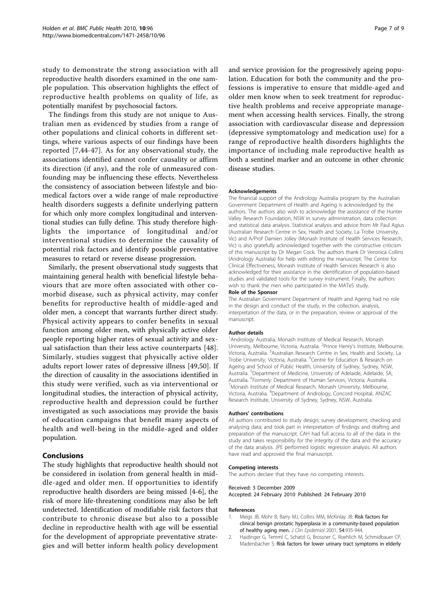<span id="page-6-0"></span>study to demonstrate the strong association with all reproductive health disorders examined in the one sample population. This observation highlights the effect of reproductive health problems on quality of life, as potentially manifest by psychosocial factors.

The findings from this study are not unique to Australian men as evidenced by studies from a range of other populations and clinical cohorts in different settings, where various aspects of our findings have been reported [[7,44](#page-7-0)-[47](#page-7-0)]. As for any observational study, the associations identified cannot confer causality or affirm its direction (if any), and the role of unmeasured confounding may be influencing these effects. Nevertheless the consistency of association between lifestyle and biomedical factors over a wide range of male reproductive health disorders suggests a definite underlying pattern for which only more complex longitudinal and interventional studies can fully define. This study therefore highlights the importance of longitudinal and/or interventional studies to determine the causality of potential risk factors and identify possible preventative measures to retard or reverse disease progression.

Similarly, the present observational study suggests that maintaining general health with beneficial lifestyle behaviours that are more often associated with other comorbid disease, such as physical activity, may confer benefits for reproductive health of middle-aged and older men, a concept that warrants further direct study. Physical activity appears to confer benefits in sexual function among older men, with physically active older people reporting higher rates of sexual activity and sexual satisfaction than their less active counterparts [[48](#page-7-0)]. Similarly, studies suggest that physically active older adults report lower rates of depressive illness [\[49](#page-7-0),[50](#page-8-0)]. If the direction of causality in the associations identified in this study were verified, such as via interventional or longitudinal studies, the interaction of physical activity, reproductive health and depression could be further investigated as such associations may provide the basis of education campaigns that benefit many aspects of health and well-being in the middle-aged and older population.

## Conclusions

The study highlights that reproductive health should not be considered in isolation from general health in middle-aged and older men. If opportunities to identify reproductive health disorders are being missed [[4-6](#page-7-0)], the risk of more life-threatening conditions may also be left undetected. Identification of modifiable risk factors that contribute to chronic disease but also to a possible decline in reproductive health with age will be essential for the development of appropriate preventative strategies and will better inform health policy development

and service provision for the progressively ageing population. Education for both the community and the professions is imperative to ensure that middle-aged and older men know when to seek treatment for reproductive health problems and receive appropriate management when accessing health services. Finally, the strong association with cardiovascular disease and depression (depressive symptomatology and medication use) for a range of reproductive health disorders highlights the importance of including male reproductive health as both a sentinel marker and an outcome in other chronic disease studies.

#### Acknowledgements

The financial support of the Andrology Australia program by the Australian Government Department of Health and Ageing is acknowledged by the authors. The authors also wish to acknowledge the assistance of the Hunter Valley Research Foundation, NSW in survey administration, data collection and statistical data analysis. Statistical analysis and advice from Mr Paul Agius (Australian Research Centre in Sex, Health and Society, La Trobe University, Vic) and A/Prof Damien Jolley (Monash Institute of Health Services Research, Vic) is also gratefully acknowledged together with the constructive criticism of this manuscript by Dr Megan Cock. The authors thank Dr Veronica Collins (Andrology Australia) for help with editing the manuscript. The Centre for Clinical Effectiveness, Monash Institute of Health Services Research is also acknowledged for their assistance in the identification of population-based studies and validated tools for the survey instrument. Finally, the authors wish to thank the men who participated in the MATeS study.

#### Role of the Sponsor

The Australian Government Department of Health and Ageing had no role in the design and conduct of the study, in the collection, analysis, interpretation of the data, or in the preparation, review or approval of the manuscript.

#### Author details

<sup>1</sup> Andrology Australia, Monash Institute of Medical Research, Monash University, Melbourne, Victoria, Australia. <sup>2</sup>Prince Henry's Institute, Melbourne Victoria, Australia. <sup>3</sup>Australian Research Centre in Sex, Health and Society, La Trobe University, Victoria, Australia. <sup>4</sup>Centre for Education & Research on Ageing and School of Public Health, University of Sydney, Sydney, NSW, Australia. <sup>5</sup> Department of Medicine, University of Adelaide, Adelaide, SA, Australia. <sup>6</sup> Formerly: Department of Human Services, Victoria, Australia.<br><sup>7</sup> Monash Institute of Medical Besearch, Monash University, Melbourne  $^7$ Monash Institute of Medical Research, Monash University, Melbourne, Victoria, Australia. <sup>8</sup>Department of Andrology, Concord Hospital, ANZAC Research Institute, University of Sydney, Sydney, NSW, Australia.

#### Authors' contributions

All authors contributed to study design; survey development, checking and analysing data; and took part in interpretation of findings and drafting and preparation of the manuscript. CAH had full access to all of the data in the study and takes responsibility for the integrity of the data and the accuracy of the data analysis. JPE performed logistic regression analysis. All authors have read and approved the final manuscript.

#### Competing interests

The authors declare that they have no competing interests.

#### Received: 3 December 2009

Accepted: 24 February 2010 Published: 24 February 2010

#### References

- 1. Meigs JB, Mohr B, Barry MJ, Collins MM, McKinlay JB: [Risk factors for](http://www.ncbi.nlm.nih.gov/pubmed/11520654?dopt=Abstract) [clinical benign prostatic hyperplasia in a community-based population](http://www.ncbi.nlm.nih.gov/pubmed/11520654?dopt=Abstract) [of healthy aging men.](http://www.ncbi.nlm.nih.gov/pubmed/11520654?dopt=Abstract) J Clin Epidemiol 2001, 54:935-944.
- 2. Haidinger G, Temml C, Schatzl G, Brossner C, Roehlich M, Schmidbauer CP, Madersbacher S: [Risk factors for lower urinary tract symptoms in elderly](http://www.ncbi.nlm.nih.gov/pubmed/10765071?dopt=Abstract)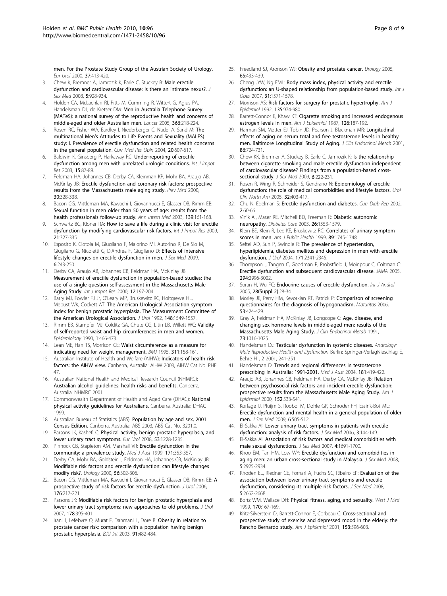<span id="page-7-0"></span>[men. For the Prostate Study Group of the Austrian Society of Urology.](http://www.ncbi.nlm.nih.gov/pubmed/10765071?dopt=Abstract) Eur Urol 2000, 37:413-420.

- Chew K, Bremner A, Jamrozik K, Earle C, Stuckey B: [Male erectile](http://www.ncbi.nlm.nih.gov/pubmed/18194189?dopt=Abstract) [dysfunction and cardiovascular disease: is there an intimate nexus?.](http://www.ncbi.nlm.nih.gov/pubmed/18194189?dopt=Abstract) J Sex Med 2008, 5:928-934.
- 4. Holden CA, McLachlan RI, Pitts M, Cumming R, Wittert G, Agius PA, Handelsman DJ, de Kretser DM: [Men in Australia Telephone Survey](http://www.ncbi.nlm.nih.gov/pubmed/16023512?dopt=Abstract) [\(MATeS\): a national survey of the reproductive health and concerns of](http://www.ncbi.nlm.nih.gov/pubmed/16023512?dopt=Abstract) [middle-aged and older Australian men.](http://www.ncbi.nlm.nih.gov/pubmed/16023512?dopt=Abstract) Lancet 2005, 366:218-224.
- 5. Rosen RC, Fisher WA, Eardley I, Niederberger C, Nadel A, Sand M: [The](http://www.ncbi.nlm.nih.gov/pubmed/15171225?dopt=Abstract) multinational Men'[s Attitudes to Life Events and Sexuality \(MALES\)](http://www.ncbi.nlm.nih.gov/pubmed/15171225?dopt=Abstract) [study: I. Prevalence of erectile dysfunction and related health concerns](http://www.ncbi.nlm.nih.gov/pubmed/15171225?dopt=Abstract) [in the general population.](http://www.ncbi.nlm.nih.gov/pubmed/15171225?dopt=Abstract) Curr Med Res Opin 2004, 20:607-617.
- Baldwin K, Ginsberg P, Harkaway RC: [Under-reporting of erectile](http://www.ncbi.nlm.nih.gov/pubmed/12789385?dopt=Abstract) [dysfunction among men with unrelated urologic conditions.](http://www.ncbi.nlm.nih.gov/pubmed/12789385?dopt=Abstract) Int J Impot Res 2003, 15:87-89.
- 7. Feldman HA, Johannes CB, Derby CA, Kleinman KP, Mohr BA, Araujo AB, McKinlay JB: [Erectile dysfunction and coronary risk factors: prospective](http://www.ncbi.nlm.nih.gov/pubmed/10731462?dopt=Abstract) [results from the Massachusetts male aging study.](http://www.ncbi.nlm.nih.gov/pubmed/10731462?dopt=Abstract) Prev Med 2000, 30:328-338.
- Bacon CG, Mittleman MA, Kawachi I, Giovannucci E, Glasser DB, Rimm EB: [Sexual function in men older than 50 years of age: results from the](http://www.ncbi.nlm.nih.gov/pubmed/12899583?dopt=Abstract) [health professionals follow-up study.](http://www.ncbi.nlm.nih.gov/pubmed/12899583?dopt=Abstract) Ann Intern Med 2003, 139:161-168.
- 9. Schwartz BG, Kloner RA: [How to save a life during a clinic visit for erectile](http://www.ncbi.nlm.nih.gov/pubmed/19693019?dopt=Abstract) [dysfunction by modifying cardiovascular risk factors.](http://www.ncbi.nlm.nih.gov/pubmed/19693019?dopt=Abstract) Int J Impot Res 2009, 21:327-335.
- 10. Esposito K, Ciotola M, Giugliano F, Maiorino MI, Autorino R, De Sio M, Giugliano G, Nicoletti G, D'Andrea F, Giugliano D: [Effects of intensive](http://www.ncbi.nlm.nih.gov/pubmed/19170853?dopt=Abstract) [lifestyle changes on erectile dysfunction in men.](http://www.ncbi.nlm.nih.gov/pubmed/19170853?dopt=Abstract) J Sex Med 2009, 6:243-250.
- 11. Derby CA, Araujo AB, Johannes CB, Feldman HA, McKinlay JB: [Measurement of erectile dysfunction in population-based studies: the](http://www.ncbi.nlm.nih.gov/pubmed/11079360?dopt=Abstract) [use of a single question self-assessment in the Massachusetts Male](http://www.ncbi.nlm.nih.gov/pubmed/11079360?dopt=Abstract) [Aging Study.](http://www.ncbi.nlm.nih.gov/pubmed/11079360?dopt=Abstract) Int J Impot Res 2000, 12:197-204.
- 12. Barry MJ, Fowler FJ Jr, O'Leary MP, Bruskewitz RC, Holtgrewe HL, Mebust WK, Cockett AT: [The American Urological Association symptom](http://www.ncbi.nlm.nih.gov/pubmed/1279218?dopt=Abstract) [index for benign prostatic hyperplasia. The Measurement Committee of](http://www.ncbi.nlm.nih.gov/pubmed/1279218?dopt=Abstract) [the American Urological Association.](http://www.ncbi.nlm.nih.gov/pubmed/1279218?dopt=Abstract) J Urol 1992, 148:1549-1557.
- 13. Rimm EB, Stampfer MJ, Colditz GA, Chute CG, Litin LB, Willett WC: [Validity](http://www.ncbi.nlm.nih.gov/pubmed/2090285?dopt=Abstract) [of self-reported waist and hip circumferences in men and women.](http://www.ncbi.nlm.nih.gov/pubmed/2090285?dopt=Abstract) Epidemiology 1990, 1:466-473.
- 14. Lean ME, Han TS, Morrison CE: [Waist circumference as a measure for](http://www.ncbi.nlm.nih.gov/pubmed/7613427?dopt=Abstract) [indicating need for weight management.](http://www.ncbi.nlm.nih.gov/pubmed/7613427?dopt=Abstract) BMJ 1995, 311:158-161.
- 15. Australian Institute of Health and Welfare (AIHW): Indicators of health risk factors: the AIHW view. Canberra, Australia: AIHW 2003, AIHW Cat No. PHE 47.
- 16. Australian National Health and Medical Research Council (NHMRC): Australian alcohol guidelines: health risks and benefits. Canberra, Australia: NHMRC 2001.
- 17. Commonwealth Department of Health and Aged Care (DHAC): National physical activity guidelines for Australians. Canberra, Australia: DHAC 1999.
- 18. Australian Bureau of Statistics (ABS): Population by age and sex, 2001 Census Edition. Canberra, Australia: ABS 2003, ABS Cat No. 3201.0.
- Parsons JK, Kashefi C: [Physical activity, benign prostatic hyperplasia, and](http://www.ncbi.nlm.nih.gov/pubmed/18358592?dopt=Abstract) [lower urinary tract symptoms.](http://www.ncbi.nlm.nih.gov/pubmed/18358592?dopt=Abstract) Eur Urol 2008, 53:1228-1235.
- 20. Pinnock CB, Stapleton AM, Marshall VR: [Erectile dysfunction in the](http://www.ncbi.nlm.nih.gov/pubmed/10590723?dopt=Abstract) [community: a prevalence study.](http://www.ncbi.nlm.nih.gov/pubmed/10590723?dopt=Abstract) Med J Aust 1999, 171:353-357.
- 21. Derby CA, Mohr BA, Goldstein I, Feldman HA, Johannes CB, McKinlay JB: [Modifiable risk factors and erectile dysfunction: can lifestyle changes](http://www.ncbi.nlm.nih.gov/pubmed/10925098?dopt=Abstract) [modify risk?.](http://www.ncbi.nlm.nih.gov/pubmed/10925098?dopt=Abstract) Urology 2000, 56:302-306.
- 22. Bacon CG, Mittleman MA, Kawachi I, Giovannucci E, Glasser DB, Rimm EB: [A](http://www.ncbi.nlm.nih.gov/pubmed/16753404?dopt=Abstract) [prospective study of risk factors for erectile dysfunction.](http://www.ncbi.nlm.nih.gov/pubmed/16753404?dopt=Abstract) J Urol 2006, 176:217-221.
- 23. Parsons JK: [Modifiable risk factors for benign prostatic hyperplasia and](http://www.ncbi.nlm.nih.gov/pubmed/17561143?dopt=Abstract) [lower urinary tract symptoms: new approaches to old problems.](http://www.ncbi.nlm.nih.gov/pubmed/17561143?dopt=Abstract) J Urol 2007, 178:395-401.
- 24. Irani J, Lefebvre O, Murat F, Dahmani L, Dore B: [Obesity in relation to](http://www.ncbi.nlm.nih.gov/pubmed/12656898?dopt=Abstract) [prostate cancer risk: comparison with a population having benign](http://www.ncbi.nlm.nih.gov/pubmed/12656898?dopt=Abstract) [prostatic hyperplasia.](http://www.ncbi.nlm.nih.gov/pubmed/12656898?dopt=Abstract) BJU Int 2003, 91:482-484.
- 25. Freedland SJ, Aronson WJ: [Obesity and prostate cancer.](http://www.ncbi.nlm.nih.gov/pubmed/15780350?dopt=Abstract) *Urology* 2005. 65:433-439.
- 26. Cheng JYW, Ng EML: Body mass index, physical activity and erectile dysfunction: an U-shaped relationship from population-based study. Int J Obes 2007, 31:1571-1578.
- 27. Morrison AS: [Risk factors for surgery for prostatic hypertrophy.](http://www.ncbi.nlm.nih.gov/pubmed/1375808?dopt=Abstract) Am J Epidemiol 1992, 135:974-980.
- 28. Barrett-Connor E, Khaw KT: [Cigarette smoking and increased endogenous](http://www.ncbi.nlm.nih.gov/pubmed/3605047?dopt=Abstract) [estrogen levels in men.](http://www.ncbi.nlm.nih.gov/pubmed/3605047?dopt=Abstract) Am J Epidemiol 1987, 126:187-192.
- 29. Harman SM, Metter EJ, Tobin JD, Pearson J, Blackman MR: [Longitudinal](http://www.ncbi.nlm.nih.gov/pubmed/11158037?dopt=Abstract) [effects of aging on serum total and free testosterone levels in healthy](http://www.ncbi.nlm.nih.gov/pubmed/11158037?dopt=Abstract) [men. Baltimore Longitudinal Study of Aging.](http://www.ncbi.nlm.nih.gov/pubmed/11158037?dopt=Abstract) J Clin Endocrinol Metab 2001, 86:724-731.
- 30. Chew KK, Bremner A, Stuckey B, Earle C, Jamrozik K: [Is the relationship](http://www.ncbi.nlm.nih.gov/pubmed/18761596?dopt=Abstract) [between cigarette smoking and male erectile dysfunction independent](http://www.ncbi.nlm.nih.gov/pubmed/18761596?dopt=Abstract) [of cardiovascular disease? Findings from a population-based cross](http://www.ncbi.nlm.nih.gov/pubmed/18761596?dopt=Abstract)[sectional study.](http://www.ncbi.nlm.nih.gov/pubmed/18761596?dopt=Abstract) J Sex Med 2009, 6:222-231.
- 31. Rosen R, Wing R, Schneider S, Gendrano N: [Epidemiology of erectile](http://www.ncbi.nlm.nih.gov/pubmed/16291033?dopt=Abstract) [dysfunction: the role of medical comorbidities and lifestyle factors.](http://www.ncbi.nlm.nih.gov/pubmed/16291033?dopt=Abstract) Urol Clin North Am 2005, 32:403-417.
- 32. Chu N, Edelman S: [Erectile dysfunction and diabetes.](http://www.ncbi.nlm.nih.gov/pubmed/12643124?dopt=Abstract) Curr Diab Rep 2002, 2:60-66.
- 33. Vinik AI, Maser RE, Mitchell BD, Freeman R: [Diabetic autonomic](http://www.ncbi.nlm.nih.gov/pubmed/12716821?dopt=Abstract) [neuropathy.](http://www.ncbi.nlm.nih.gov/pubmed/12716821?dopt=Abstract) Diabetes Care 2003, 26:1553-1579.
- 34. Klein BE, Klein R, Lee KE, Bruskewitz RC: [Correlates of urinary symptom](http://www.ncbi.nlm.nih.gov/pubmed/10553401?dopt=Abstract) [scores in men.](http://www.ncbi.nlm.nih.gov/pubmed/10553401?dopt=Abstract) Am J Public Health 1999, 89:1745-1748.
- 35. Seftel AD, Sun P, Swindle R: [The prevalence of hypertension,](http://www.ncbi.nlm.nih.gov/pubmed/15126817?dopt=Abstract) [hyperlipidemia, diabetes mellitus and depression in men with erectile](http://www.ncbi.nlm.nih.gov/pubmed/15126817?dopt=Abstract) [dysfunction.](http://www.ncbi.nlm.nih.gov/pubmed/15126817?dopt=Abstract) J Urol 2004, 171:2341-2345.
- 36. Thompson I, Tangen C, Goodman P, Probstfield J, Moinpour C, Coltman C: [Erectile dysfunction and subsequent cardiovascular disease.](http://www.ncbi.nlm.nih.gov/pubmed/16414947?dopt=Abstract) JAMA 2005, 294:2996-3002.
- 37. Soran H, Wu FC: [Endocrine causes of erectile dysfunction.](http://www.ncbi.nlm.nih.gov/pubmed/16236061?dopt=Abstract) Int J Androl 2005, 28(Suppl 2):28-34.
- 38. Morley JE, Perry HM, Kevorkian RT, Patrick P: [Comparison of screening](http://www.ncbi.nlm.nih.gov/pubmed/16140484?dopt=Abstract) [questionnaires for the diagnosis of hypogonadism.](http://www.ncbi.nlm.nih.gov/pubmed/16140484?dopt=Abstract) Maturitas 2006, 53:424-429.
- 39. Gray A, Feldman HA, McKinlay JB, Longcope C: [Age, disease, and](http://www.ncbi.nlm.nih.gov/pubmed/1719016?dopt=Abstract) [changing sex hormone levels in middle-aged men: results of the](http://www.ncbi.nlm.nih.gov/pubmed/1719016?dopt=Abstract) [Massachusetts Male Aging Study.](http://www.ncbi.nlm.nih.gov/pubmed/1719016?dopt=Abstract) J Clin Endocrinol Metab 1991, 73:1016-1025.
- 40. Handelsman DJ: Testicular dysfunction in systemic diseases. Andrology: Male Reproductive Health and Dysfunction Berlin: Springer-VerlagNieschlag E, Behre H , 2 2001, 241-251.
- 41. Handelsman D: [Trends and regional differences in testosterone](http://www.ncbi.nlm.nih.gov/pubmed/15487956?dopt=Abstract) [prescribing in Australia: 1991-2001.](http://www.ncbi.nlm.nih.gov/pubmed/15487956?dopt=Abstract) Med J Aust 2004, 181:419-422.
- 42. Araujo AB, Johannes CB, Feldman HA, Derby CA, McKinlay JB: [Relation](http://www.ncbi.nlm.nih.gov/pubmed/10997543?dopt=Abstract) [between psychosocial risk factors and incident erectile dysfunction:](http://www.ncbi.nlm.nih.gov/pubmed/10997543?dopt=Abstract) [prospective results from the Massachusetts Male Aging Study.](http://www.ncbi.nlm.nih.gov/pubmed/10997543?dopt=Abstract) Am J Epidemiol 2000, 152:533-541.
- 43. Korfage IJ, Pluijm S, Roobol M, Dohle GR, Schroder FH, Essink-Bot ML: [Erectile dysfunction and mental health in a general population of older](http://www.ncbi.nlm.nih.gov/pubmed/19067789?dopt=Abstract) [men.](http://www.ncbi.nlm.nih.gov/pubmed/19067789?dopt=Abstract) J Sex Med 2009, 6:505-512.
- 44. El-Sakka Al: [Lower urinary tract symptoms in patients with erectile](http://www.ncbi.nlm.nih.gov/pubmed/16409228?dopt=Abstract) [dysfunction: analysis of risk factors.](http://www.ncbi.nlm.nih.gov/pubmed/16409228?dopt=Abstract) J Sex Med 2006, 3:144-149.
- 45. El-Sakka AI: [Association of risk factors and medical comorbidities with](http://www.ncbi.nlm.nih.gov/pubmed/17081221?dopt=Abstract) [male sexual dysfunctions.](http://www.ncbi.nlm.nih.gov/pubmed/17081221?dopt=Abstract) J Sex Med 2007, 4:1691-1700.
- 46. Khoo EM, Tan HM, Low WY: [Erectile dysfunction and comorbidities in](http://www.ncbi.nlm.nih.gov/pubmed/18761590?dopt=Abstract) [aging men: an urban cross-sectional study in Malaysia.](http://www.ncbi.nlm.nih.gov/pubmed/18761590?dopt=Abstract) J Sex Med 2008, 5:2925-2934.
- 47. Rhoden EL, Riedner CE, Fornari A, Fuchs SC, Ribeiro EP: [Evaluation of the](http://www.ncbi.nlm.nih.gov/pubmed/18564152?dopt=Abstract) [association between lower urinary tract symptoms and erectile](http://www.ncbi.nlm.nih.gov/pubmed/18564152?dopt=Abstract) [dysfunction, considering its multiple risk factors.](http://www.ncbi.nlm.nih.gov/pubmed/18564152?dopt=Abstract) J Sex Med 2008, 5:2662-2668.
- 48. Bortz WM, Wallace DH: [Physical fitness, aging, and sexuality.](http://www.ncbi.nlm.nih.gov/pubmed/10214104?dopt=Abstract) West J Med 1999, 170:167-169.
- 49. Kritz-Silverstein D, Barrett-Connor E, Corbeau C: [Cross-sectional and](http://www.ncbi.nlm.nih.gov/pubmed/11257068?dopt=Abstract) [prospective study of exercise and depressed mood in the elderly: the](http://www.ncbi.nlm.nih.gov/pubmed/11257068?dopt=Abstract) [Rancho Bernardo study.](http://www.ncbi.nlm.nih.gov/pubmed/11257068?dopt=Abstract) Am J Epidemiol 2001, 153:596-603.